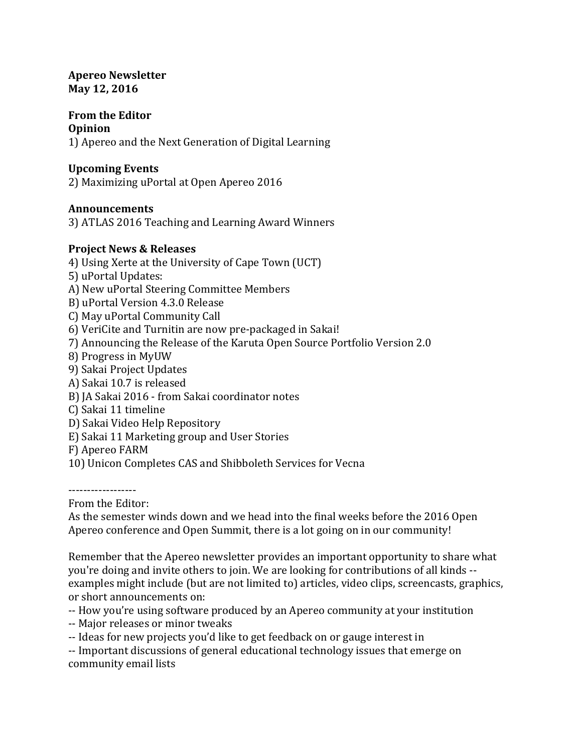#### **Apereo Newsletter May 12, 2016**

# **From the Editor**

#### **Opinion**

1) Apereo and the Next Generation of Digital Learning

## **Upcoming Events**

2) Maximizing uPortal at Open Apereo 2016

## **Announcements**

3) ATLAS 2016 Teaching and Learning Award Winners

## **Project News & Releases**

4) Using Xerte at the University of Cape Town (UCT)

5) uPortal Updates:

A) New uPortal Steering Committee Members

- B) uPortal Version 4.3.0 Release
- C) May uPortal Community Call

6) VeriCite and Turnitin are now pre-packaged in Sakai!

- 7) Announcing the Release of the Karuta Open Source Portfolio Version 2.0
- 8) Progress in MyUW
- 9) Sakai Project Updates
- A) Sakai 10.7 is released
- B) JA Sakai 2016 from Sakai coordinator notes
- C) Sakai 11 timeline
- D) Sakai Video Help Repository
- E) Sakai 11 Marketing group and User Stories
- F) Apereo FARM
- 10) Unicon Completes CAS and Shibboleth Services for Vecna

------------------

From the Editor:

As the semester winds down and we head into the final weeks before the 2016 Open Apereo conference and Open Summit, there is a lot going on in our community!

Remember that the Apereo newsletter provides an important opportunity to share what you're doing and invite others to join. We are looking for contributions of all kinds -examples might include (but are not limited to) articles, video clips, screencasts, graphics, or short announcements on:

- -- How you're using software produced by an Apereo community at your institution
- -- Major releases or minor tweaks
- -- Ideas for new projects you'd like to get feedback on or gauge interest in

-- Important discussions of general educational technology issues that emerge on community email lists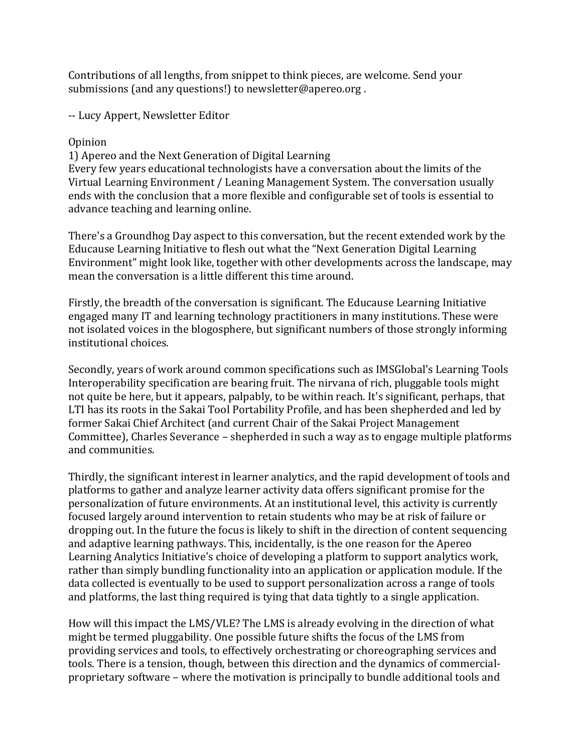Contributions of all lengths, from snippet to think pieces, are welcome. Send your submissions (and any questions!) to newsletter@apereo.org.

-- Lucy Appert, Newsletter Editor

#### Opinion

1) Apereo and the Next Generation of Digital Learning

Every few years educational technologists have a conversation about the limits of the Virtual Learning Environment / Leaning Management System. The conversation usually ends with the conclusion that a more flexible and configurable set of tools is essential to advance teaching and learning online.

There's a Groundhog Day aspect to this conversation, but the recent extended work by the Educause Learning Initiative to flesh out what the "Next Generation Digital Learning Environment" might look like, together with other developments across the landscape, may mean the conversation is a little different this time around.

Firstly, the breadth of the conversation is significant. The Educause Learning Initiative engaged many IT and learning technology practitioners in many institutions. These were not isolated voices in the blogosphere, but significant numbers of those strongly informing institutional choices.

Secondly, years of work around common specifications such as IMSGlobal's Learning Tools Interoperability specification are bearing fruit. The nirvana of rich, pluggable tools might not quite be here, but it appears, palpably, to be within reach. It's significant, perhaps, that LTI has its roots in the Sakai Tool Portability Profile, and has been shepherded and led by former Sakai Chief Architect (and current Chair of the Sakai Project Management Committee), Charles Severance – shepherded in such a way as to engage multiple platforms and communities.

Thirdly, the significant interest in learner analytics, and the rapid development of tools and platforms to gather and analyze learner activity data offers significant promise for the personalization of future environments. At an institutional level, this activity is currently focused largely around intervention to retain students who may be at risk of failure or dropping out. In the future the focus is likely to shift in the direction of content sequencing and adaptive learning pathways. This, incidentally, is the one reason for the Apereo Learning Analytics Initiative's choice of developing a platform to support analytics work, rather than simply bundling functionality into an application or application module. If the data collected is eventually to be used to support personalization across a range of tools and platforms, the last thing required is tying that data tightly to a single application.

How will this impact the LMS/VLE? The LMS is already evolving in the direction of what might be termed pluggability. One possible future shifts the focus of the LMS from providing services and tools, to effectively orchestrating or choreographing services and tools. There is a tension, though, between this direction and the dynamics of commercialproprietary software – where the motivation is principally to bundle additional tools and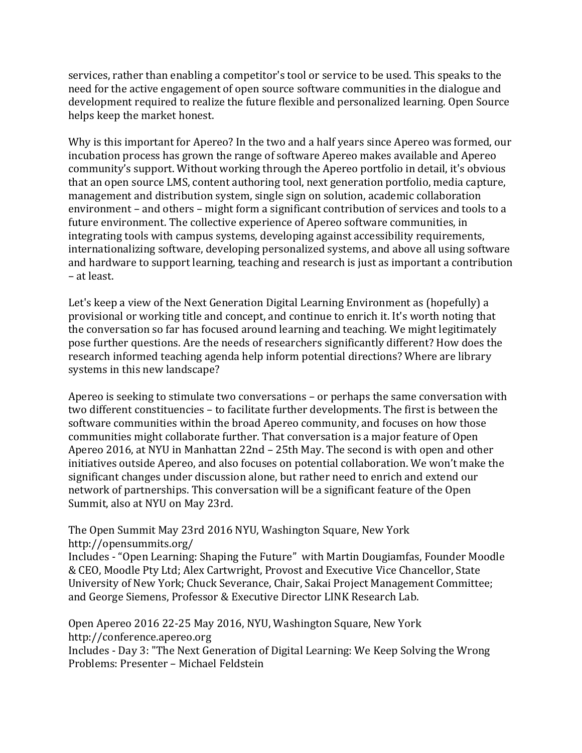services, rather than enabling a competitor's tool or service to be used. This speaks to the need for the active engagement of open source software communities in the dialogue and development required to realize the future flexible and personalized learning. Open Source helps keep the market honest.

Why is this important for Apereo? In the two and a half years since Apereo was formed, our incubation process has grown the range of software Apereo makes available and Apereo community's support. Without working through the Apereo portfolio in detail, it's obvious that an open source LMS, content authoring tool, next generation portfolio, media capture, management and distribution system, single sign on solution, academic collaboration environment – and others – might form a significant contribution of services and tools to a future environment. The collective experience of Apereo software communities, in integrating tools with campus systems, developing against accessibility requirements, internationalizing software, developing personalized systems, and above all using software and hardware to support learning, teaching and research is just as important a contribution – at least.

Let's keep a view of the Next Generation Digital Learning Environment as (hopefully) a provisional or working title and concept, and continue to enrich it. It's worth noting that the conversation so far has focused around learning and teaching. We might legitimately pose further questions. Are the needs of researchers significantly different? How does the research informed teaching agenda help inform potential directions? Where are library systems in this new landscape?

Apereo is seeking to stimulate two conversations – or perhaps the same conversation with two different constituencies - to facilitate further developments. The first is between the software communities within the broad Apereo community, and focuses on how those communities might collaborate further. That conversation is a major feature of Open Apereo 2016, at NYU in Manhattan 22nd – 25th May. The second is with open and other initiatives outside Apereo, and also focuses on potential collaboration. We won't make the significant changes under discussion alone, but rather need to enrich and extend our network of partnerships. This conversation will be a significant feature of the Open Summit, also at NYU on May 23rd.

The Open Summit May 23rd 2016 NYU, Washington Square, New York http://opensummits.org/

Includes - "Open Learning: Shaping the Future" with Martin Dougiamfas, Founder Moodle & CEO, Moodle Pty Ltd; Alex Cartwright, Provost and Executive Vice Chancellor, State University of New York; Chuck Severance, Chair, Sakai Project Management Committee; and George Siemens, Professor & Executive Director LINK Research Lab.

Open Apereo 2016 22-25 May 2016, NYU, Washington Square, New York http://conference.apereo.org Includes - Day 3: "The Next Generation of Digital Learning: We Keep Solving the Wrong Problems: Presenter – Michael Feldstein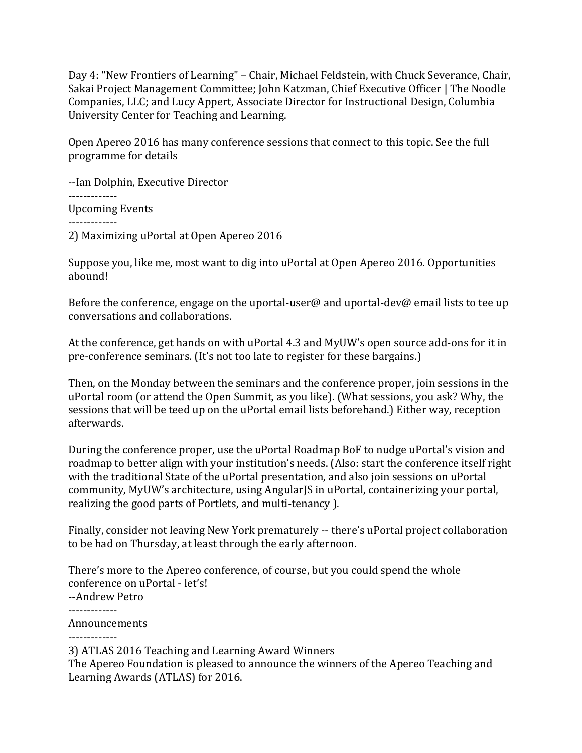Day 4: "New Frontiers of Learning" - Chair, Michael Feldstein, with Chuck Severance, Chair, Sakai Project Management Committee; John Katzman, Chief Executive Officer | The Noodle Companies, LLC; and Lucy Appert, Associate Director for Instructional Design, Columbia University Center for Teaching and Learning.

Open Apereo 2016 has many conference sessions that connect to this topic. See the full programme for details

--Ian Dolphin, Executive Director ------------- Upcoming Events ------------- 2) Maximizing uPortal at Open Apereo 2016

Suppose you, like me, most want to dig into uPortal at Open Apereo 2016. Opportunities abound!

Before the conference, engage on the uportal-user@ and uportal-dev@ email lists to tee up conversations and collaborations.

At the conference, get hands on with uPortal  $4.3$  and MyUW's open source add-ons for it in pre-conference seminars. (It's not too late to register for these bargains.)

Then, on the Monday between the seminars and the conference proper, join sessions in the uPortal room (or attend the Open Summit, as you like). (What sessions, you ask? Why, the sessions that will be teed up on the uPortal email lists beforehand.) Either way, reception afterwards.

During the conference proper, use the uPortal Roadmap BoF to nudge uPortal's vision and roadmap to better align with your institution's needs. (Also: start the conference itself right with the traditional State of the uPortal presentation, and also join sessions on uPortal community, MyUW's architecture, using AngularJS in uPortal, containerizing your portal, realizing the good parts of Portlets, and multi-tenancy ).

Finally, consider not leaving New York prematurely -- there's uPortal project collaboration to be had on Thursday, at least through the early afternoon.

There's more to the Apereo conference, of course, but you could spend the whole conference on uPortal - let's! --Andrew Petro ------------- Announcements -------------

3) ATLAS 2016 Teaching and Learning Award Winners The Apereo Foundation is pleased to announce the winners of the Apereo Teaching and Learning Awards (ATLAS) for 2016.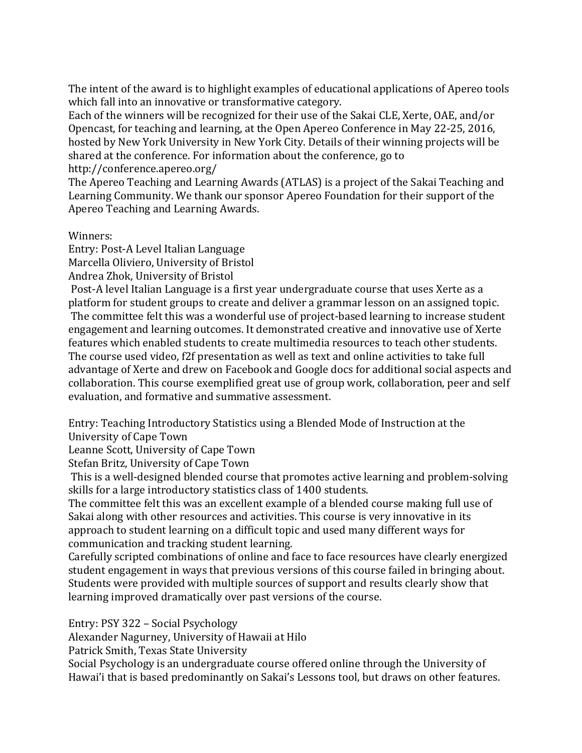The intent of the award is to highlight examples of educational applications of Apereo tools which fall into an innovative or transformative category.

Each of the winners will be recognized for their use of the Sakai CLE, Xerte, OAE, and/or Opencast, for teaching and learning, at the Open Apereo Conference in May 22-25, 2016, hosted by New York University in New York City. Details of their winning projects will be shared at the conference. For information about the conference, go to http://conference.apereo.org/

The Apereo Teaching and Learning Awards (ATLAS) is a project of the Sakai Teaching and Learning Community. We thank our sponsor Apereo Foundation for their support of the Apereo Teaching and Learning Awards.

Winners: 

Entry: Post-A Level Italian Language Marcella Oliviero, University of Bristol Andrea Zhok, University of Bristol

Post-A level Italian Language is a first year undergraduate course that uses Xerte as a platform for student groups to create and deliver a grammar lesson on an assigned topic. The committee felt this was a wonderful use of project-based learning to increase student engagement and learning outcomes. It demonstrated creative and innovative use of Xerte features which enabled students to create multimedia resources to teach other students. The course used video, f2f presentation as well as text and online activities to take full advantage of Xerte and drew on Facebook and Google docs for additional social aspects and collaboration. This course exemplified great use of group work, collaboration, peer and self evaluation, and formative and summative assessment.

Entry: Teaching Introductory Statistics using a Blended Mode of Instruction at the University of Cape Town

Leanne Scott, University of Cape Town

Stefan Britz, University of Cape Town

This is a well-designed blended course that promotes active learning and problem-solving skills for a large introductory statistics class of 1400 students.

The committee felt this was an excellent example of a blended course making full use of Sakai along with other resources and activities. This course is very innovative in its approach to student learning on a difficult topic and used many different ways for communication and tracking student learning.

Carefully scripted combinations of online and face to face resources have clearly energized student engagement in ways that previous versions of this course failed in bringing about. Students were provided with multiple sources of support and results clearly show that learning improved dramatically over past versions of the course.

Entry: PSY 322 – Social Psychology

Alexander Nagurney, University of Hawaii at Hilo

Patrick Smith, Texas State University

Social Psychology is an undergraduate course offered online through the University of Hawai'i that is based predominantly on Sakai's Lessons tool, but draws on other features.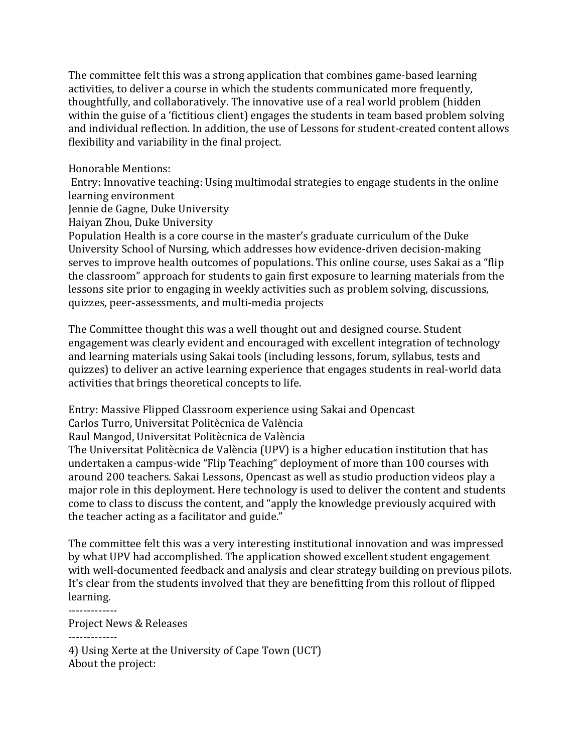The committee felt this was a strong application that combines game-based learning activities, to deliver a course in which the students communicated more frequently, thoughtfully, and collaboratively. The innovative use of a real world problem (hidden within the guise of a 'fictitious client) engages the students in team based problem solving and individual reflection. In addition, the use of Lessons for student-created content allows flexibility and variability in the final project.

Honorable Mentions:

Entry: Innovative teaching: Using multimodal strategies to engage students in the online learning environment

Jennie de Gagne, Duke University

Haiyan Zhou, Duke University

Population Health is a core course in the master's graduate curriculum of the Duke University School of Nursing, which addresses how evidence-driven decision-making serves to improve health outcomes of populations. This online course, uses Sakai as a "flip the classroom" approach for students to gain first exposure to learning materials from the lessons site prior to engaging in weekly activities such as problem solving, discussions, quizzes, peer-assessments, and multi-media projects

The Committee thought this was a well thought out and designed course. Student engagement was clearly evident and encouraged with excellent integration of technology and learning materials using Sakai tools (including lessons, forum, syllabus, tests and quizzes) to deliver an active learning experience that engages students in real-world data activities that brings theoretical concepts to life.

Entry: Massive Flipped Classroom experience using Sakai and Opencast

Carlos Turro, Universitat Politècnica de València

Raul Mangod, Universitat Politècnica de València

The Universitat Politècnica de València (UPV) is a higher education institution that has undertaken a campus-wide "Flip Teaching" deployment of more than 100 courses with around 200 teachers. Sakai Lessons, Opencast as well as studio production videos play a major role in this deployment. Here technology is used to deliver the content and students come to class to discuss the content, and "apply the knowledge previously acquired with the teacher acting as a facilitator and guide."

The committee felt this was a very interesting institutional innovation and was impressed by what UPV had accomplished. The application showed excellent student engagement with well-documented feedback and analysis and clear strategy building on previous pilots. It's clear from the students involved that they are benefitting from this rollout of flipped learning.

Project News & Releases

-------------

-------------

4) Using Xerte at the University of Cape Town (UCT) About the project: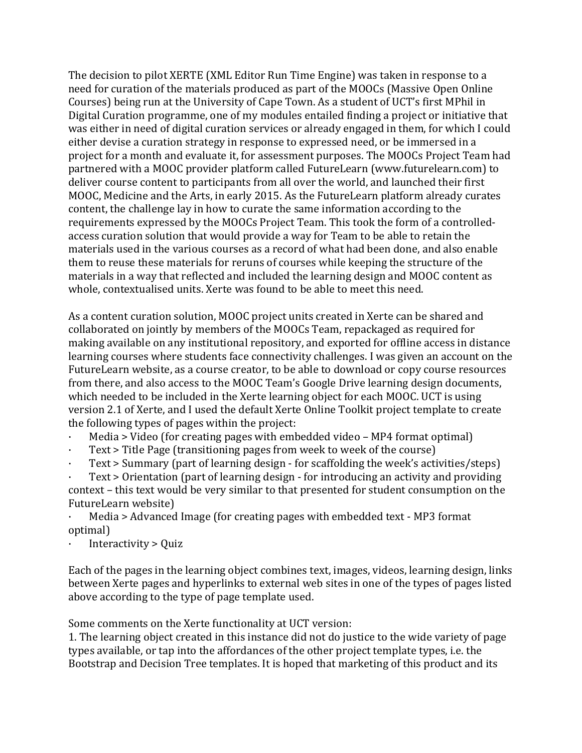The decision to pilot XERTE (XML Editor Run Time Engine) was taken in response to a need for curation of the materials produced as part of the MOOCs (Massive Open Online Courses) being run at the University of Cape Town. As a student of UCT's first MPhil in Digital Curation programme, one of my modules entailed finding a project or initiative that was either in need of digital curation services or already engaged in them, for which I could either devise a curation strategy in response to expressed need, or be immersed in a project for a month and evaluate it, for assessment purposes. The MOOCs Project Team had partnered with a MOOC provider platform called FutureLearn (www.futurelearn.com) to deliver course content to participants from all over the world, and launched their first MOOC, Medicine and the Arts, in early 2015. As the FutureLearn platform already curates content, the challenge lay in how to curate the same information according to the requirements expressed by the MOOCs Project Team. This took the form of a controlledaccess curation solution that would provide a way for Team to be able to retain the materials used in the various courses as a record of what had been done, and also enable them to reuse these materials for reruns of courses while keeping the structure of the materials in a way that reflected and included the learning design and MOOC content as whole, contextualised units. Xerte was found to be able to meet this need.

As a content curation solution, MOOC project units created in Xerte can be shared and collaborated on jointly by members of the MOOCs Team, repackaged as required for making available on any institutional repository, and exported for offline access in distance learning courses where students face connectivity challenges. I was given an account on the FutureLearn website, as a course creator, to be able to download or copy course resources from there, and also access to the MOOC Team's Google Drive learning design documents, which needed to be included in the Xerte learning object for each MOOC. UCT is using version 2.1 of Xerte, and I used the default Xerte Online Toolkit project template to create the following types of pages within the project:

- $Media > Video (for creating pages with embedded video MP4 format optimal)$
- Text  $>$  Title Page (transitioning pages from week to week of the course)
- Text > Summary (part of learning design for scaffolding the week's activities/steps)

Text > Orientation (part of learning design - for introducing an activity and providing context - this text would be very similar to that presented for student consumption on the FutureLearn website)

Media > Advanced Image (for creating pages with embedded text - MP3 format optimal)

Interactivity  $>$  Quiz

Each of the pages in the learning object combines text, images, videos, learning design, links between Xerte pages and hyperlinks to external web sites in one of the types of pages listed above according to the type of page template used.

Some comments on the Xerte functionality at UCT version:

1. The learning object created in this instance did not do justice to the wide variety of page types available, or tap into the affordances of the other project template types, i.e. the Bootstrap and Decision Tree templates. It is hoped that marketing of this product and its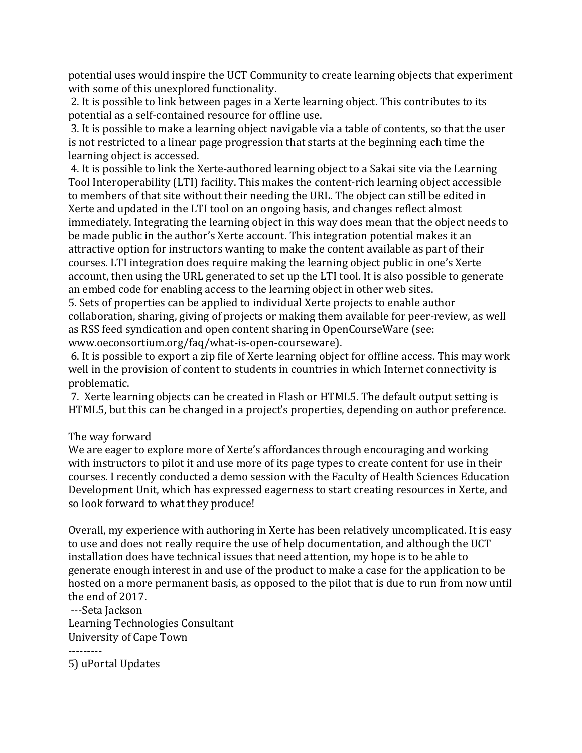potential uses would inspire the UCT Community to create learning objects that experiment with some of this unexplored functionality.

2. It is possible to link between pages in a Xerte learning object. This contributes to its potential as a self-contained resource for offline use.

3. It is possible to make a learning object navigable via a table of contents, so that the user is not restricted to a linear page progression that starts at the beginning each time the learning object is accessed.

4. It is possible to link the Xerte-authored learning object to a Sakai site via the Learning Tool Interoperability (LTI) facility. This makes the content-rich learning object accessible to members of that site without their needing the URL. The object can still be edited in Xerte and updated in the LTI tool on an ongoing basis, and changes reflect almost immediately. Integrating the learning object in this way does mean that the object needs to be made public in the author's Xerte account. This integration potential makes it an attractive option for instructors wanting to make the content available as part of their courses. LTI integration does require making the learning object public in one's Xerte account, then using the URL generated to set up the LTI tool. It is also possible to generate an embed code for enabling access to the learning object in other web sites.

5. Sets of properties can be applied to individual Xerte projects to enable author collaboration, sharing, giving of projects or making them available for peer-review, as well as RSS feed syndication and open content sharing in OpenCourseWare (see: www.oeconsortium.org/faq/what-is-open-courseware). 

6. It is possible to export a zip file of Xerte learning object for offline access. This may work well in the provision of content to students in countries in which Internet connectivity is problematic.

7. Xerte learning objects can be created in Flash or HTML5. The default output setting is HTML5, but this can be changed in a project's properties, depending on author preference.

## The way forward

We are eager to explore more of Xerte's affordances through encouraging and working with instructors to pilot it and use more of its page types to create content for use in their courses. I recently conducted a demo session with the Faculty of Health Sciences Education Development Unit, which has expressed eagerness to start creating resources in Xerte, and so look forward to what they produce!

Overall, my experience with authoring in Xerte has been relatively uncomplicated. It is easy to use and does not really require the use of help documentation, and although the UCT installation does have technical issues that need attention, my hope is to be able to generate enough interest in and use of the product to make a case for the application to be hosted on a more permanent basis, as opposed to the pilot that is due to run from now until the end of 2017.

---Seta Jackson Learning Technologies Consultant University of Cape Town

---------

5) uPortal Updates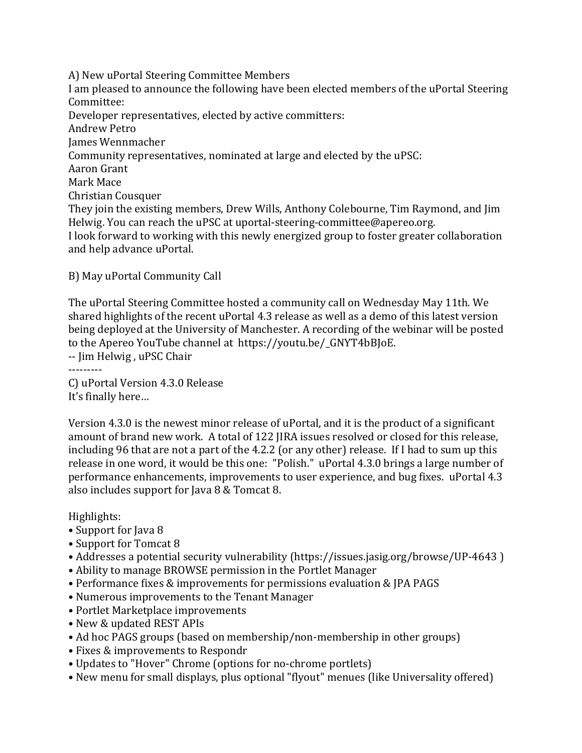A) New uPortal Steering Committee Members I am pleased to announce the following have been elected members of the uPortal Steering Committee: Developer representatives, elected by active committers: Andrew Petro James Wennmacher Community representatives, nominated at large and elected by the uPSC: Aaron Grant Mark Mace Christian Cousquer They join the existing members, Drew Wills, Anthony Colebourne, Tim Raymond, and Jim Helwig. You can reach the uPSC at uportal-steering-committee@apereo.org. I look forward to working with this newly energized group to foster greater collaboration and help advance uPortal.

B) May uPortal Community Call

The uPortal Steering Committee hosted a community call on Wednesday May 11th. We shared highlights of the recent uPortal 4.3 release as well as a demo of this latest version being deployed at the University of Manchester. A recording of the webinar will be posted to the Apereo YouTube channel at https://youtu.be/ GNYT4bBJoE. -- Jim Helwig, uPSC Chair

---------

C) uPortal Version 4.3.0 Release It's finally here...

Version 4.3.0 is the newest minor release of uPortal, and it is the product of a significant amount of brand new work. A total of 122 JIRA issues resolved or closed for this release, including 96 that are not a part of the 4.2.2 (or any other) release. If I had to sum up this release in one word, it would be this one: "Polish." uPortal 4.3.0 brings a large number of performance enhancements, improvements to user experience, and bug fixes. uPortal 4.3 also includes support for Java  $8 \&$  Tomcat  $8$ .

Highlights:

- Support for Java 8
- Support for Tomcat 8
- Addresses a potential security vulnerability (https://issues.jasig.org/browse/UP-4643)
- Ability to manage BROWSE permission in the Portlet Manager
- Performance fixes & improvements for permissions evaluation & JPA PAGS
- Numerous improvements to the Tenant Manager
- Portlet Marketplace improvements
- New & updated REST APIs
- Ad hoc PAGS groups (based on membership/non-membership in other groups)
- Fixes & improvements to Respondr
- Updates to "Hover" Chrome (options for no-chrome portlets)
- New menu for small displays, plus optional "flyout" menues (like Universality offered)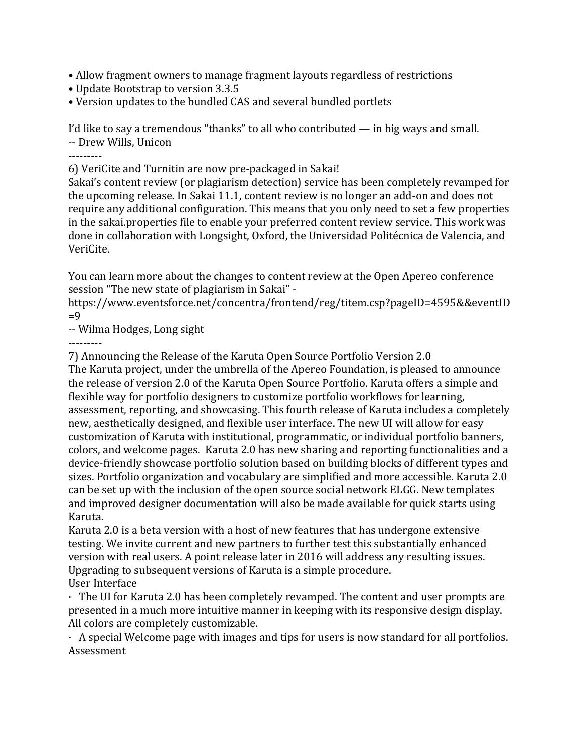- Allow fragment owners to manage fragment layouts regardless of restrictions
- Update Bootstrap to version 3.3.5
- Version updates to the bundled CAS and several bundled portlets

I'd like to say a tremendous "thanks" to all who contributed  $-$  in big ways and small. -- Drew Wills, Unicon

---------

6) VeriCite and Turnitin are now pre-packaged in Sakai!

Sakai's content review (or plagiarism detection) service has been completely revamped for the upcoming release. In Sakai 11.1, content review is no longer an add-on and does not require any additional configuration. This means that you only need to set a few properties in the sakai.properties file to enable your preferred content review service. This work was done in collaboration with Longsight, Oxford, the Universidad Politécnica de Valencia, and VeriCite. 

You can learn more about the changes to content review at the Open Apereo conference session "The new state of plagiarism in Sakai" -

https://www.eventsforce.net/concentra/frontend/reg/titem.csp?pageID=4595&&eventID  $=9$ 

-- Wilma Hodges, Long sight

---------

7) Announcing the Release of the Karuta Open Source Portfolio Version 2.0

The Karuta project, under the umbrella of the Apereo Foundation, is pleased to announce the release of version 2.0 of the Karuta Open Source Portfolio. Karuta offers a simple and flexible way for portfolio designers to customize portfolio workflows for learning, assessment, reporting, and showcasing. This fourth release of Karuta includes a completely new, aesthetically designed, and flexible user interface. The new UI will allow for easy customization of Karuta with institutional, programmatic, or individual portfolio banners, colors, and welcome pages. Karuta 2.0 has new sharing and reporting functionalities and a device-friendly showcase portfolio solution based on building blocks of different types and sizes. Portfolio organization and vocabulary are simplified and more accessible. Karuta  $2.0$ can be set up with the inclusion of the open source social network ELGG. New templates and improved designer documentation will also be made available for quick starts using Karuta.

Karuta 2.0 is a beta version with a host of new features that has undergone extensive testing. We invite current and new partners to further test this substantially enhanced version with real users. A point release later in 2016 will address any resulting issues. Upgrading to subsequent versions of Karuta is a simple procedure. User Interface

 $\cdot$  The UI for Karuta 2.0 has been completely revamped. The content and user prompts are presented in a much more intuitive manner in keeping with its responsive design display. All colors are completely customizable.

 $\cdot$  A special Welcome page with images and tips for users is now standard for all portfolios. Assessment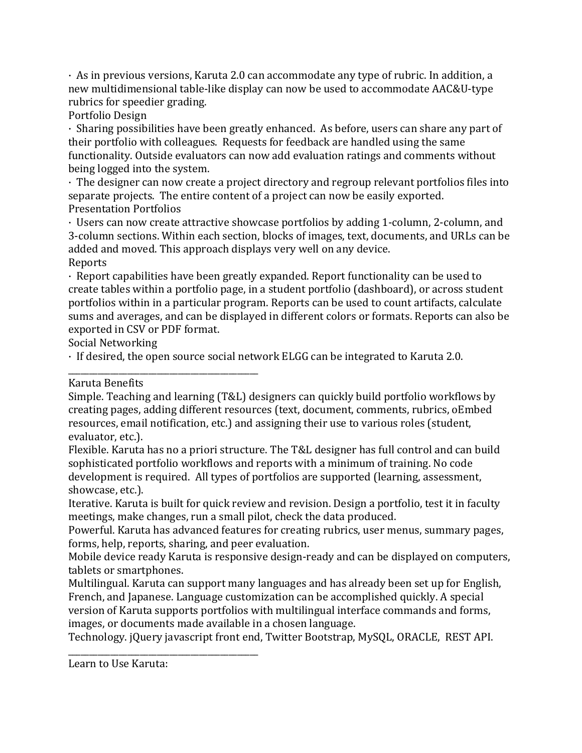$\cdot$  As in previous versions, Karuta 2.0 can accommodate any type of rubric. In addition, a new multidimensional table-like display can now be used to accommodate AAC&U-type rubrics for speedier grading.

Portfolio Design

• Sharing possibilities have been greatly enhanced. As before, users can share any part of their portfolio with colleagues. Requests for feedback are handled using the same functionality. Outside evaluators can now add evaluation ratings and comments without being logged into the system.

• The designer can now create a project directory and regroup relevant portfolios files into separate projects. The entire content of a project can now be easily exported. Presentation Portfolios

· Users can now create attractive showcase portfolios by adding 1-column, 2-column, and 3-column sections. Within each section, blocks of images, text, documents, and URLs can be added and moved. This approach displays very well on any device. Reports

 $\cdot$  Report capabilities have been greatly expanded. Report functionality can be used to create tables within a portfolio page, in a student portfolio (dashboard), or across student portfolios within in a particular program. Reports can be used to count artifacts, calculate sums and averages, and can be displayed in different colors or formats. Reports can also be exported in CSV or PDF format.

Social Networking

\_\_\_\_\_\_\_\_\_\_\_\_\_\_\_\_\_\_\_\_\_\_\_\_\_\_\_\_\_\_\_\_\_\_\_\_\_\_\_\_\_\_\_\_\_

 $\cdot$  If desired, the open source social network ELGG can be integrated to Karuta 2.0.

Karuta Benefits

Simple. Teaching and learning (T&L) designers can quickly build portfolio workflows by creating pages, adding different resources (text, document, comments, rubrics, oEmbed resources, email notification, etc.) and assigning their use to various roles (student, evaluator, etc.).

Flexible. Karuta has no a priori structure. The T&L designer has full control and can build sophisticated portfolio workflows and reports with a minimum of training. No code development is required. All types of portfolios are supported (learning, assessment, showcase, etc.).

Iterative. Karuta is built for quick review and revision. Design a portfolio, test it in faculty meetings, make changes, run a small pilot, check the data produced.

Powerful. Karuta has advanced features for creating rubrics, user menus, summary pages, forms, help, reports, sharing, and peer evaluation.

Mobile device ready Karuta is responsive design-ready and can be displayed on computers, tablets or smartphones.

Multilingual. Karuta can support many languages and has already been set up for English, French, and Japanese. Language customization can be accomplished quickly. A special version of Karuta supports portfolios with multilingual interface commands and forms, images, or documents made available in a chosen language.

Technology. ¡Query javascript front end, Twitter Bootstrap, MySQL, ORACLE, REST API.

Learn to Use Karuta:

\_\_\_\_\_\_\_\_\_\_\_\_\_\_\_\_\_\_\_\_\_\_\_\_\_\_\_\_\_\_\_\_\_\_\_\_\_\_\_\_\_\_\_\_\_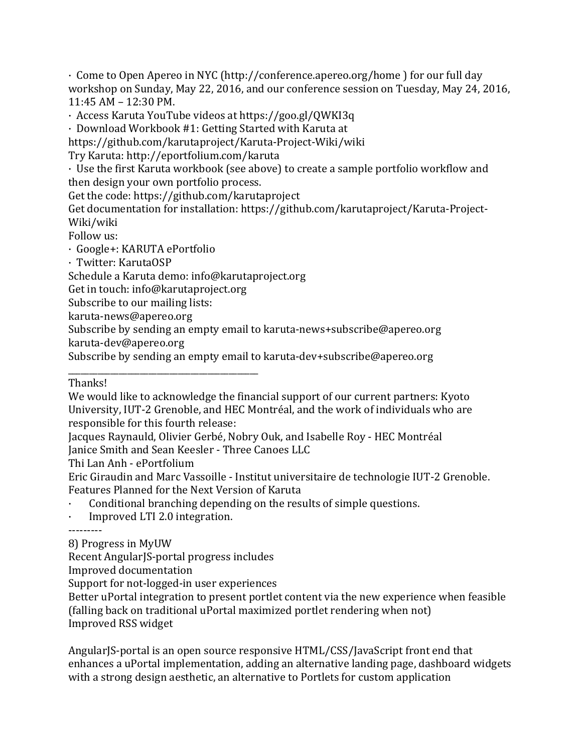$\cdot$  Come to Open Apereo in NYC (http://conference.apereo.org/home ) for our full day workshop on Sunday, May 22, 2016, and our conference session on Tuesday, May 24, 2016,  $11:45$  AM –  $12:30$  PM.

· Access Karuta YouTube videos at https://goo.gl/QWKI3q

 $\cdot$  Download Workbook #1: Getting Started with Karuta at

https://github.com/karutaproject/Karuta-Project-Wiki/wiki

Try Karuta: http://eportfolium.com/karuta

 $\cdot$  Use the first Karuta workbook (see above) to create a sample portfolio workflow and then design your own portfolio process.

Get the code: https://github.com/karutaproject

Get documentation for installation: https://github.com/karutaproject/Karuta-Project-Wiki/wiki

Follow us:

· Google+: KARUTA ePortfolio

· Twitter: KarutaOSP

Schedule a Karuta demo: info@karutaproject.org

Get in touch: info@karutaproject.org

\_\_\_\_\_\_\_\_\_\_\_\_\_\_\_\_\_\_\_\_\_\_\_\_\_\_\_\_\_\_\_\_\_\_\_\_\_\_\_\_\_\_\_\_\_

Subscribe to our mailing lists:

karuta-news@apereo.org

Subscribe by sending an empty email to karuta-news+subscribe@apereo.org

karuta-dev@apereo.org

Subscribe by sending an empty email to karuta-dev+subscribe@apereo.org

## Thanks!

We would like to acknowledge the financial support of our current partners: Kyoto University, IUT-2 Grenoble, and HEC Montréal, and the work of individuals who are responsible for this fourth release:

Jacques Raynauld, Olivier Gerbé, Nobry Ouk, and Isabelle Roy - HEC Montréal Janice Smith and Sean Keesler - Three Canoes LLC

Thi Lan Anh - ePortfolium

Eric Giraudin and Marc Vassoille - Institut universitaire de technologie IUT-2 Grenoble. Features Planned for the Next Version of Karuta

Conditional branching depending on the results of simple questions.

 $\cdot$  Improved LTI 2.0 integration.

---------

8) Progress in MyUW

Recent AngularJS-portal progress includes

Improved documentation

Support for not-logged-in user experiences

Better uPortal integration to present portlet content via the new experience when feasible (falling back on traditional uPortal maximized portlet rendering when not) Improved RSS widget

AngularJS-portal is an open source responsive HTML/CSS/JavaScript front end that enhances a uPortal implementation, adding an alternative landing page, dashboard widgets with a strong design aesthetic, an alternative to Portlets for custom application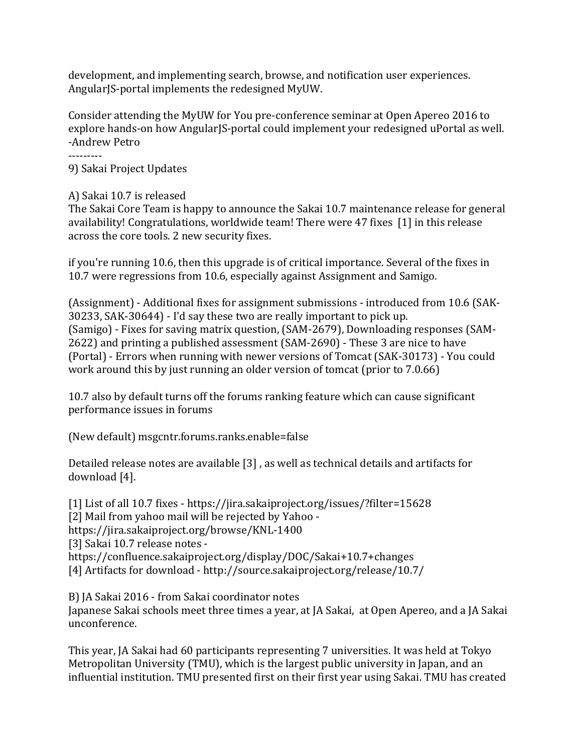development, and implementing search, browse, and notification user experiences. AngularJS-portal implements the redesigned MyUW.

Consider attending the MyUW for You pre-conference seminar at Open Apereo 2016 to explore hands-on how AngularJS-portal could implement your redesigned uPortal as well. -Andrew Petro

---------

9) Sakai Project Updates

## A) Sakai 10.7 is released

The Sakai Core Team is happy to announce the Sakai 10.7 maintenance release for general availability! Congratulations, worldwide team! There were 47 fixes [1] in this release across the core tools. 2 new security fixes.

if you're running 10.6, then this upgrade is of critical importance. Several of the fixes in 10.7 were regressions from 10.6, especially against Assignment and Samigo.

 $(A)$  (Assignment) - Additional fixes for assignment submissions - introduced from 10.6 (SAK-30233, SAK-30644) - I'd say these two are really important to pick up. (Samigo) - Fixes for saving matrix question, (SAM-2679), Downloading responses (SAM-2622) and printing a published assessment (SAM-2690) - These 3 are nice to have (Portal) - Errors when running with newer versions of Tomcat (SAK-30173) - You could work around this by just running an older version of tomcat (prior to 7.0.66)

10.7 also by default turns off the forums ranking feature which can cause significant performance issues in forums

(New default) msgcntr.forums.ranks.enable=false

Detailed release notes are available  $[3]$ , as well as technical details and artifacts for download [4].

[1] List of all 10.7 fixes - https://jira.sakaiproject.org/issues/?filter=15628 [2] Mail from yahoo mail will be rejected by Yahoo https://jira.sakaiproject.org/browse/KNL-1400 [3] Sakai 10.7 release notes https://confluence.sakaiproject.org/display/DOC/Sakai+10.7+changes [4] Artifacts for download - http://source.sakaiproject.org/release/10.7/

B) IA Sakai 2016 - from Sakai coordinator notes Japanese Sakai schools meet three times a year, at JA Sakai, at Open Apereo, and a JA Sakai unconference.

This year, JA Sakai had 60 participants representing 7 universities. It was held at Tokyo Metropolitan University (TMU), which is the largest public university in Japan, and an influential institution. TMU presented first on their first year using Sakai. TMU has created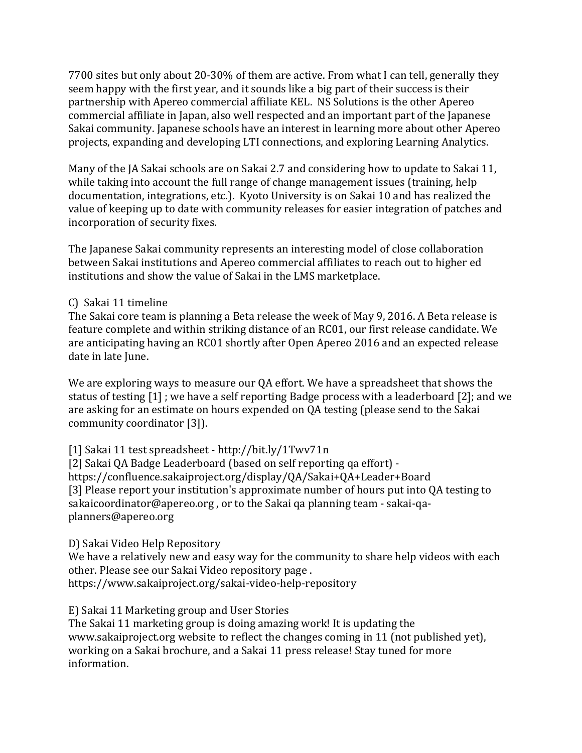7700 sites but only about 20-30% of them are active. From what I can tell, generally they seem happy with the first year, and it sounds like a big part of their success is their partnership with Apereo commercial affiliate KEL. NS Solutions is the other Apereo commercial affiliate in Japan, also well respected and an important part of the Japanese Sakai community. Japanese schools have an interest in learning more about other Apereo projects, expanding and developing LTI connections, and exploring Learning Analytics.

Many of the JA Sakai schools are on Sakai 2.7 and considering how to update to Sakai 11, while taking into account the full range of change management issues (training, help documentation, integrations, etc.). Kyoto University is on Sakai 10 and has realized the value of keeping up to date with community releases for easier integration of patches and incorporation of security fixes.

The Japanese Sakai community represents an interesting model of close collaboration between Sakai institutions and Apereo commercial affiliates to reach out to higher ed institutions and show the value of Sakai in the LMS marketplace.

## C) Sakai 11 timeline

The Sakai core team is planning a Beta release the week of May 9, 2016. A Beta release is feature complete and within striking distance of an RC01, our first release candidate. We are anticipating having an RC01 shortly after Open Apereo 2016 and an expected release date in late June.

We are exploring ways to measure our QA effort. We have a spreadsheet that shows the status of testing  $[1]$ ; we have a self reporting Badge process with a leaderboard  $[2]$ ; and we are asking for an estimate on hours expended on QA testing (please send to the Sakai community coordinator [3]).

[1] Sakai 11 test spreadsheet - http://bit.ly/1Twv71n

[2] Sakai QA Badge Leaderboard (based on self reporting qa effort) https://confluence.sakaiproject.org/display/QA/Sakai+QA+Leader+Board [3] Please report your institution's approximate number of hours put into QA testing to sakaicoordinator@apereo.org, or to the Sakai qa planning team - sakai-qaplanners@apereo.org 

D) Sakai Video Help Repository

We have a relatively new and easy way for the community to share help videos with each other. Please see our Sakai Video repository page. https://www.sakaiproject.org/sakai-video-help-repository

E) Sakai 11 Marketing group and User Stories

The Sakai 11 marketing group is doing amazing work! It is updating the www.sakaiproject.org website to reflect the changes coming in 11 (not published yet), working on a Sakai brochure, and a Sakai 11 press release! Stay tuned for more information.